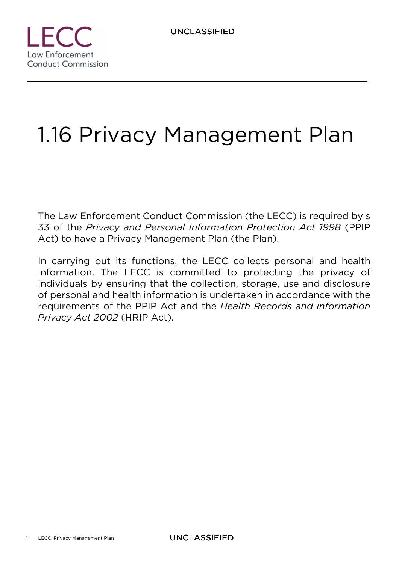

# 1.16 Privacy Management Plan

The Law Enforcement Conduct Commission (the LECC) is required by s 33 of the *Privacy and Personal Information Protection Act 1998* (PPIP Act) to have a Privacy Management Plan (the Plan).

In carrying out its functions, the LECC collects personal and health information. The LECC is committed to protecting the privacy of individuals by ensuring that the collection, storage, use and disclosure of personal and health information is undertaken in accordance with the requirements of the PPIP Act and the *Health Records and information Privacy Act 2002* (HRIP Act).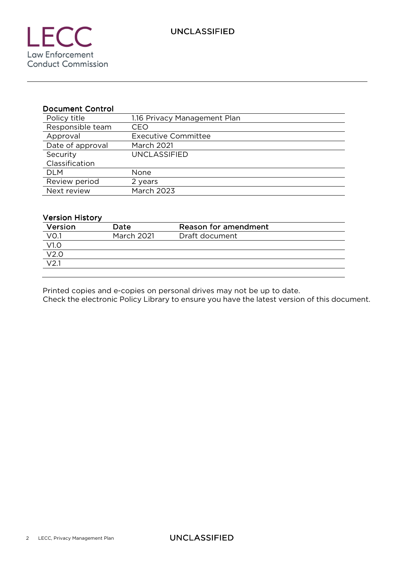#### Document Control

| Policy title     | 1.16 Privacy Management Plan |
|------------------|------------------------------|
| Responsible team | CEO                          |
| Approval         | <b>Executive Committee</b>   |
| Date of approval | <b>March 2021</b>            |
| Security         | <b>UNCLASSIFIED</b>          |
| Classification   |                              |
| <b>DLM</b>       | None                         |
| Review period    | 2 years                      |
| Next review      | <b>March 2023</b>            |

#### Version History

| Version           | Date              | Reason for amendment |  |
|-------------------|-------------------|----------------------|--|
| VO.1              | <b>March 2021</b> | Draft document       |  |
| V1.0              |                   |                      |  |
| V <sub>2.0</sub>  |                   |                      |  |
| $\overline{V2.1}$ |                   |                      |  |
|                   |                   |                      |  |

Printed copies and e-copies on personal drives may not be up to date.

Check the electronic Policy Library to ensure you have the latest version of this document.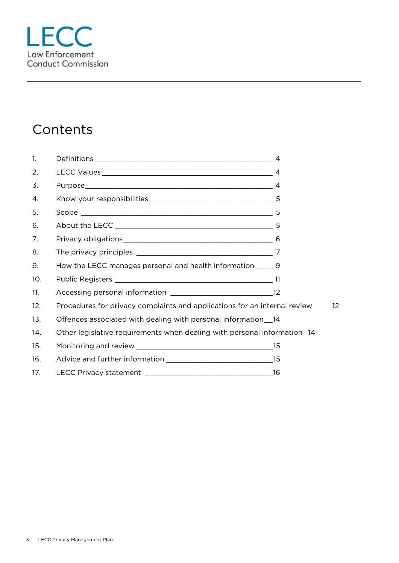## **Contents**

| $\mathbf{1}$ . |                                                                           | $\overline{4}$ |
|----------------|---------------------------------------------------------------------------|----------------|
| 2.             |                                                                           |                |
| 3.             |                                                                           |                |
| 4.             |                                                                           |                |
| 5.             |                                                                           |                |
| 6.             |                                                                           |                |
| 7.             |                                                                           |                |
| 8.             |                                                                           |                |
| 9.             | How the LECC manages personal and health information ______ 9             |                |
| 10.            |                                                                           |                |
| 11.            |                                                                           |                |
| 12.            | Procedures for privacy complaints and applications for an internal review | 12             |
| 13.            | Offences associated with dealing with personal information 14             |                |
| 14.            | Other legislative requirements when dealing with personal information 14  |                |
| 15.            |                                                                           |                |
| 16.            |                                                                           |                |
| 17.            |                                                                           |                |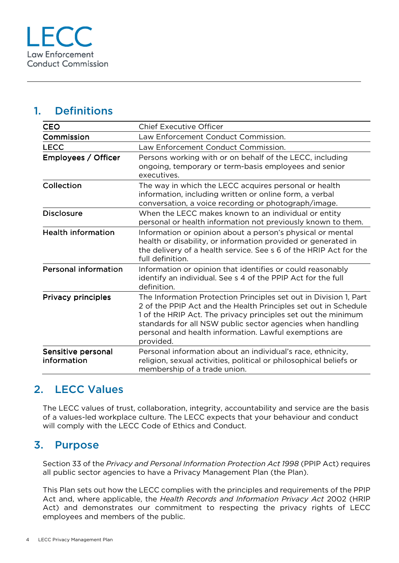## 1. Definitions

| <b>CEO</b>                        | <b>Chief Executive Officer</b>                                                                                                                                                                                                                                                                                                             |  |
|-----------------------------------|--------------------------------------------------------------------------------------------------------------------------------------------------------------------------------------------------------------------------------------------------------------------------------------------------------------------------------------------|--|
| Commission                        | Law Enforcement Conduct Commission.                                                                                                                                                                                                                                                                                                        |  |
| <b>LECC</b>                       | Law Enforcement Conduct Commission.                                                                                                                                                                                                                                                                                                        |  |
| Employees / Officer               | Persons working with or on behalf of the LECC, including<br>ongoing, temporary or term-basis employees and senior<br>executives.                                                                                                                                                                                                           |  |
| Collection                        | The way in which the LECC acquires personal or health<br>information, including written or online form, a verbal<br>conversation, a voice recording or photograph/image.                                                                                                                                                                   |  |
| <b>Disclosure</b>                 | When the LECC makes known to an individual or entity<br>personal or health information not previously known to them.                                                                                                                                                                                                                       |  |
| <b>Health information</b>         | Information or opinion about a person's physical or mental<br>health or disability, or information provided or generated in<br>the delivery of a health service. See s 6 of the HRIP Act for the<br>full definition.                                                                                                                       |  |
| <b>Personal information</b>       | Information or opinion that identifies or could reasonably<br>identify an individual. See s 4 of the PPIP Act for the full<br>definition.                                                                                                                                                                                                  |  |
| <b>Privacy principles</b>         | The Information Protection Principles set out in Division 1, Part<br>2 of the PPIP Act and the Health Principles set out in Schedule<br>1 of the HRIP Act. The privacy principles set out the minimum<br>standards for all NSW public sector agencies when handling<br>personal and health information. Lawful exemptions are<br>provided. |  |
| Sensitive personal<br>information | Personal information about an individual's race, ethnicity,<br>religion, sexual activities, political or philosophical beliefs or<br>membership of a trade union.                                                                                                                                                                          |  |

## 2. LECC Values

The LECC values of trust, collaboration, integrity, accountability and service are the basis of a values-led workplace culture. The LECC expects that your behaviour and conduct will comply with the LECC Code of Ethics and Conduct.

#### 3. Purpose

Section 33 of the *Privacy and Personal Information Protection Act 1998* (PPIP Act) requires all public sector agencies to have a Privacy Management Plan (the Plan).

This Plan sets out how the LECC complies with the principles and requirements of the PPIP Act and, where applicable, the *Health Records and Information Privacy Act* 2002 (HRIP Act) and demonstrates our commitment to respecting the privacy rights of LECC employees and members of the public.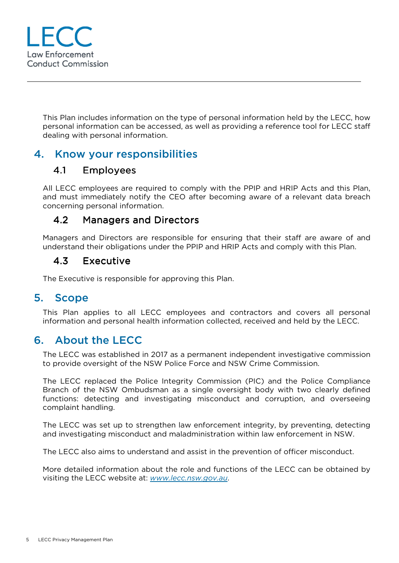

This Plan includes information on the type of personal information held by the LECC, how personal information can be accessed, as well as providing a reference tool for LECC staff dealing with personal information.

#### 4. Know your responsibilities

#### 4.1 Employees

All LECC employees are required to comply with the PPIP and HRIP Acts and this Plan, and must immediately notify the CEO after becoming aware of a relevant data breach concerning personal information.

#### 4.2 Managers and Directors

Managers and Directors are responsible for ensuring that their staff are aware of and understand their obligations under the PPIP and HRIP Acts and comply with this Plan.

#### 4.3 Executive

The Executive is responsible for approving this Plan.

#### 5. Scope

This Plan applies to all LECC employees and contractors and covers all personal information and personal health information collected, received and held by the LECC.

#### 6. About the LECC

The LECC was established in 2017 as a permanent independent investigative commission to provide oversight of the NSW Police Force and NSW Crime Commission.

The LECC replaced the Police Integrity Commission (PIC) and the Police Compliance Branch of the NSW Ombudsman as a single oversight body with two clearly defined functions: detecting and investigating misconduct and corruption, and overseeing complaint handling.

The LECC was set up to strengthen law enforcement integrity, by preventing, detecting and investigating misconduct and maladministration within law enforcement in NSW.

The LECC also aims to understand and assist in the prevention of officer misconduct.

More detailed information about the role and functions of the LECC can be obtained by visiting the LECC website at: *www.lecc.nsw.gov.au*.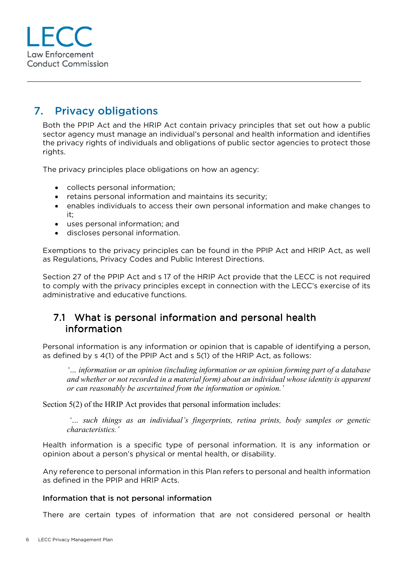

## 7. Privacy obligations

Both the PPIP Act and the HRIP Act contain privacy principles that set out how a public sector agency must manage an individual's personal and health information and identifies the privacy rights of individuals and obligations of public sector agencies to protect those rights.

The privacy principles place obligations on how an agency:

- collects personal information;
- retains personal information and maintains its security;
- enables individuals to access their own personal information and make changes to it;
- uses personal information; and
- discloses personal information.

Exemptions to the privacy principles can be found in the PPIP Act and HRIP Act, as well as Regulations, Privacy Codes and Public Interest Directions.

Section 27 of the PPIP Act and s 17 of the HRIP Act provide that the LECC is not required to comply with the privacy principles except in connection with the LECC's exercise of its administrative and educative functions.

#### 7.1 What is personal information and personal health information

Personal information is any information or opinion that is capable of identifying a person, as defined by s 4(1) of the PPIP Act and s 5(1) of the HRIP Act, as follows:

*'… information or an opinion (including information or an opinion forming part of a database and whether or not recorded in a material form) about an individual whose identity is apparent or can reasonably be ascertained from the information or opinion.'* 

Section 5(2) of the HRIP Act provides that personal information includes:

 *'… such things as an individual's fingerprints, retina prints, body samples or genetic characteristics.'* 

Health information is a specific type of personal information. It is any information or opinion about a person's physical or mental health, or disability.

Any reference to personal information in this Plan refers to personal and health information as defined in the PPIP and HRIP Acts.

#### Information that is not personal information

There are certain types of information that are not considered personal or health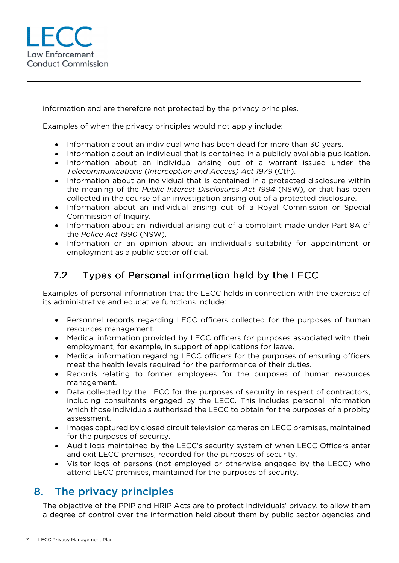

information and are therefore not protected by the privacy principles.

Examples of when the privacy principles would not apply include:

- Information about an individual who has been dead for more than 30 years.
- Information about an individual that is contained in a publicly available publication.
- Information about an individual arising out of a warrant issued under the *Telecommunications (Interception and Access) Act 1979* (Cth).
- Information about an individual that is contained in a protected disclosure within the meaning of the *Public Interest Disclosures Act 1994* (NSW), or that has been collected in the course of an investigation arising out of a protected disclosure.
- Information about an individual arising out of a Royal Commission or Special Commission of Inquiry.
- Information about an individual arising out of a complaint made under Part 8A of the *Police Act 1990* (NSW).
- Information or an opinion about an individual's suitability for appointment or employment as a public sector official.

#### 7.2 Types of Personal information held by the LECC

Examples of personal information that the LECC holds in connection with the exercise of its administrative and educative functions include:

- Personnel records regarding LECC officers collected for the purposes of human resources management.
- Medical information provided by LECC officers for purposes associated with their employment, for example, in support of applications for leave.
- Medical information regarding LECC officers for the purposes of ensuring officers meet the health levels required for the performance of their duties.
- Records relating to former employees for the purposes of human resources management.
- Data collected by the LECC for the purposes of security in respect of contractors, including consultants engaged by the LECC. This includes personal information which those individuals authorised the LECC to obtain for the purposes of a probity assessment.
- Images captured by closed circuit television cameras on LECC premises, maintained for the purposes of security.
- Audit logs maintained by the LECC's security system of when LECC Officers enter and exit LECC premises, recorded for the purposes of security.
- Visitor logs of persons (not employed or otherwise engaged by the LECC) who attend LECC premises, maintained for the purposes of security.

#### 8. The privacy principles

The objective of the PPIP and HRIP Acts are to protect individuals' privacy, to allow them a degree of control over the information held about them by public sector agencies and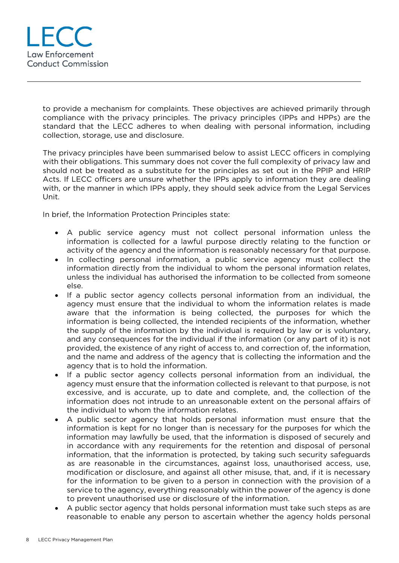

to provide a mechanism for complaints. These objectives are achieved primarily through compliance with the privacy principles. The privacy principles (IPPs and HPPs) are the standard that the LECC adheres to when dealing with personal information, including collection, storage, use and disclosure.

The privacy principles have been summarised below to assist LECC officers in complying with their obligations. This summary does not cover the full complexity of privacy law and should not be treated as a substitute for the principles as set out in the PPIP and HRIP Acts. If LECC officers are unsure whether the IPPs apply to information they are dealing with, or the manner in which IPPs apply, they should seek advice from the Legal Services Unit.

In brief, the Information Protection Principles state:

- A public service agency must not collect personal information unless the information is collected for a lawful purpose directly relating to the function or activity of the agency and the information is reasonably necessary for that purpose.
- In collecting personal information, a public service agency must collect the information directly from the individual to whom the personal information relates, unless the individual has authorised the information to be collected from someone else.
- If a public sector agency collects personal information from an individual, the agency must ensure that the individual to whom the information relates is made aware that the information is being collected, the purposes for which the information is being collected, the intended recipients of the information, whether the supply of the information by the individual is required by law or is voluntary, and any consequences for the individual if the information (or any part of it) is not provided, the existence of any right of access to, and correction of, the information, and the name and address of the agency that is collecting the information and the agency that is to hold the information.
- If a public sector agency collects personal information from an individual, the agency must ensure that the information collected is relevant to that purpose, is not excessive, and is accurate, up to date and complete, and, the collection of the information does not intrude to an unreasonable extent on the personal affairs of the individual to whom the information relates.
- A public sector agency that holds personal information must ensure that the information is kept for no longer than is necessary for the purposes for which the information may lawfully be used, that the information is disposed of securely and in accordance with any requirements for the retention and disposal of personal information, that the information is protected, by taking such security safeguards as are reasonable in the circumstances, against loss, unauthorised access, use, modification or disclosure, and against all other misuse, that, and, if it is necessary for the information to be given to a person in connection with the provision of a service to the agency, everything reasonably within the power of the agency is done to prevent unauthorised use or disclosure of the information.
- A public sector agency that holds personal information must take such steps as are reasonable to enable any person to ascertain whether the agency holds personal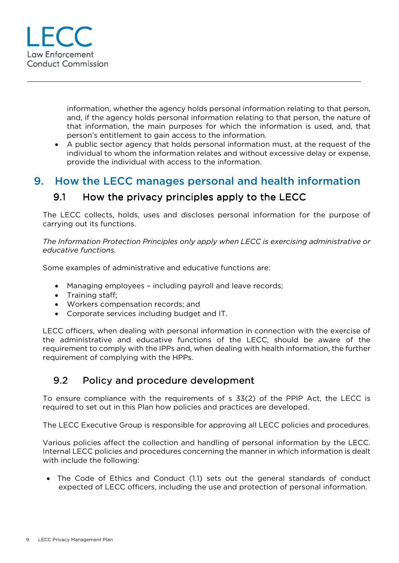

information, whether the agency holds personal information relating to that person, and, if the agency holds personal information relating to that person, the nature of that information, the main purposes for which the information is used, and, that person's entitlement to gain access to the information.

 A public sector agency that holds personal information must, at the request of the individual to whom the information relates and without excessive delay or expense, provide the individual with access to the information.

#### 9. How the LECC manages personal and health information

#### 9.1 How the privacy principles apply to the LECC

The LECC collects, holds, uses and discloses personal information for the purpose of carrying out its functions.

*The Information Protection Principles only apply when LECC is exercising administrative or educative functions.* 

Some examples of administrative and educative functions are:

- Managing employees including payroll and leave records;
- Training staff;
- Workers compensation records; and
- Corporate services including budget and IT.

LECC officers, when dealing with personal information in connection with the exercise of the administrative and educative functions of the LECC, should be aware of the requirement to comply with the IPPs and, when dealing with health information, the further requirement of complying with the HPPs.

#### 9.2 Policy and procedure development

To ensure compliance with the requirements of s 33(2) of the PPIP Act, the LECC is required to set out in this Plan how policies and practices are developed.

The LECC Executive Group is responsible for approving all LECC policies and procedures.

Various policies affect the collection and handling of personal information by the LECC. Internal LECC policies and procedures concerning the manner in which information is dealt with include the following:

 The Code of Ethics and Conduct (1.1) sets out the general standards of conduct expected of LECC officers, including the use and protection of personal information.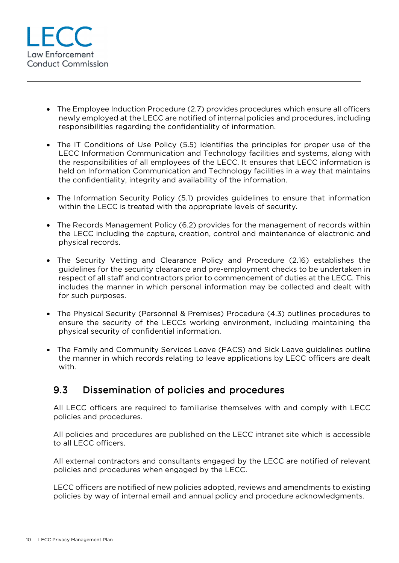

- The Employee Induction Procedure (2.7) provides procedures which ensure all officers newly employed at the LECC are notified of internal policies and procedures, including responsibilities regarding the confidentiality of information.
- The IT Conditions of Use Policy (5.5) identifies the principles for proper use of the LECC Information Communication and Technology facilities and systems, along with the responsibilities of all employees of the LECC. It ensures that LECC information is held on Information Communication and Technology facilities in a way that maintains the confidentiality, integrity and availability of the information.
- The Information Security Policy (5.1) provides guidelines to ensure that information within the LECC is treated with the appropriate levels of security.
- The Records Management Policy (6.2) provides for the management of records within the LECC including the capture, creation, control and maintenance of electronic and physical records.
- The Security Vetting and Clearance Policy and Procedure (2.16) establishes the guidelines for the security clearance and pre-employment checks to be undertaken in respect of all staff and contractors prior to commencement of duties at the LECC. This includes the manner in which personal information may be collected and dealt with for such purposes.
- The Physical Security (Personnel & Premises) Procedure (4.3) outlines procedures to ensure the security of the LECCs working environment, including maintaining the physical security of confidential information.
- The Family and Community Services Leave (FACS) and Sick Leave guidelines outline the manner in which records relating to leave applications by LECC officers are dealt with.

#### 9.3 Dissemination of policies and procedures

All LECC officers are required to familiarise themselves with and comply with LECC policies and procedures.

All policies and procedures are published on the LECC intranet site which is accessible to all LECC officers.

All external contractors and consultants engaged by the LECC are notified of relevant policies and procedures when engaged by the LECC.

LECC officers are notified of new policies adopted, reviews and amendments to existing policies by way of internal email and annual policy and procedure acknowledgments.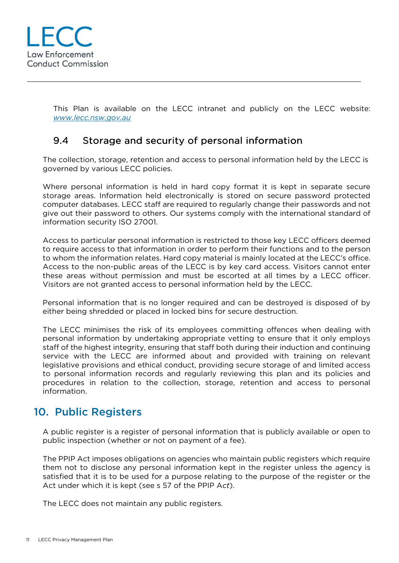This Plan is available on the LECC intranet and publicly on the LECC website: *www.lecc.nsw.gov.au*

#### 9.4 Storage and security of personal information

The collection, storage, retention and access to personal information held by the LECC is governed by various LECC policies.

Where personal information is held in hard copy format it is kept in separate secure storage areas. Information held electronically is stored on secure password protected computer databases. LECC staff are required to regularly change their passwords and not give out their password to others. Our systems comply with the international standard of information security ISO 27001.

Access to particular personal information is restricted to those key LECC officers deemed to require access to that information in order to perform their functions and to the person to whom the information relates. Hard copy material is mainly located at the LECC's office. Access to the non-public areas of the LECC is by key card access. Visitors cannot enter these areas without permission and must be escorted at all times by a LECC officer. Visitors are not granted access to personal information held by the LECC.

Personal information that is no longer required and can be destroyed is disposed of by either being shredded or placed in locked bins for secure destruction.

The LECC minimises the risk of its employees committing offences when dealing with personal information by undertaking appropriate vetting to ensure that it only employs staff of the highest integrity, ensuring that staff both during their induction and continuing service with the LECC are informed about and provided with training on relevant legislative provisions and ethical conduct, providing secure storage of and limited access to personal information records and regularly reviewing this plan and its policies and procedures in relation to the collection, storage, retention and access to personal information.

#### 10. Public Registers

A public register is a register of personal information that is publicly available or open to public inspection (whether or not on payment of a fee).

The PPIP Act imposes obligations on agencies who maintain public registers which require them not to disclose any personal information kept in the register unless the agency is satisfied that it is to be used for a purpose relating to the purpose of the register or the Act under which it is kept (see s 57 of the PPIP A*ct*).

The LECC does not maintain any public registers.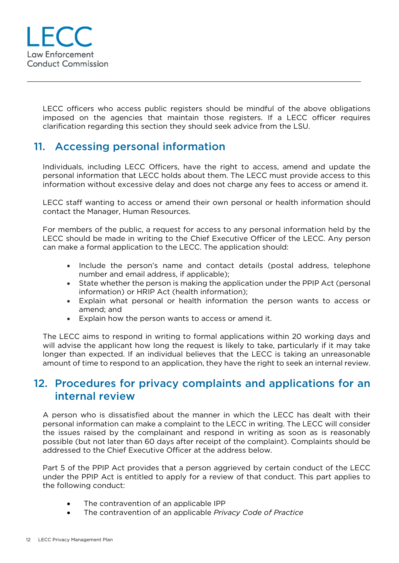LECC officers who access public registers should be mindful of the above obligations imposed on the agencies that maintain those registers. If a LECC officer requires clarification regarding this section they should seek advice from the LSU.

## 11. Accessing personal information

Individuals, including LECC Officers, have the right to access, amend and update the personal information that LECC holds about them. The LECC must provide access to this information without excessive delay and does not charge any fees to access or amend it.

LECC staff wanting to access or amend their own personal or health information should contact the Manager, Human Resources.

For members of the public, a request for access to any personal information held by the LECC should be made in writing to the Chief Executive Officer of the LECC. Any person can make a formal application to the LECC. The application should:

- Include the person's name and contact details (postal address, telephone number and email address, if applicable);
- State whether the person is making the application under the PPIP Act (personal information) or HRIP Act (health information);
- Explain what personal or health information the person wants to access or amend; and
- Explain how the person wants to access or amend it.

The LECC aims to respond in writing to formal applications within 20 working days and will advise the applicant how long the request is likely to take, particularly if it may take longer than expected. If an individual believes that the LECC is taking an unreasonable amount of time to respond to an application, they have the right to seek an internal review.

#### 12. Procedures for privacy complaints and applications for an internal review

A person who is dissatisfied about the manner in which the LECC has dealt with their personal information can make a complaint to the LECC in writing. The LECC will consider the issues raised by the complainant and respond in writing as soon as is reasonably possible (but not later than 60 days after receipt of the complaint). Complaints should be addressed to the Chief Executive Officer at the address below.

Part 5 of the PPIP Act provides that a person aggrieved by certain conduct of the LECC under the PPIP Act is entitled to apply for a review of that conduct. This part applies to the following conduct:

- The contravention of an applicable IPP
- The contravention of an applicable *Privacy Code of Practice*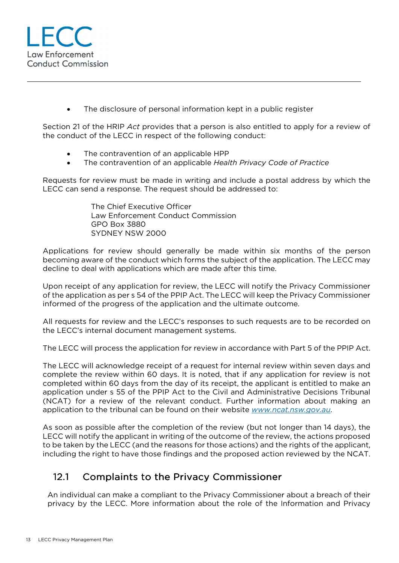The disclosure of personal information kept in a public register

Section 21 of the HRIP *Act* provides that a person is also entitled to apply for a review of the conduct of the LECC in respect of the following conduct:

- The contravention of an applicable HPP
- The contravention of an applicable *Health Privacy Code of Practice*

Requests for review must be made in writing and include a postal address by which the LECC can send a response. The request should be addressed to:

> The Chief Executive Officer Law Enforcement Conduct Commission GPO Box 3880 SYDNEY NSW 2000

Applications for review should generally be made within six months of the person becoming aware of the conduct which forms the subject of the application. The LECC may decline to deal with applications which are made after this time.

Upon receipt of any application for review, the LECC will notify the Privacy Commissioner of the application as per s 54 of the PPIP Act. The LECC will keep the Privacy Commissioner informed of the progress of the application and the ultimate outcome.

All requests for review and the LECC's responses to such requests are to be recorded on the LECC's internal document management systems.

The LECC will process the application for review in accordance with Part 5 of the PPIP Act.

The LECC will acknowledge receipt of a request for internal review within seven days and complete the review within 60 days. It is noted, that if any application for review is not completed within 60 days from the day of its receipt, the applicant is entitled to make an application under s 55 of the PPIP Act to the Civil and Administrative Decisions Tribunal (NCAT) for a review of the relevant conduct. Further information about making an application to the tribunal can be found on their website *www.ncat.nsw.gov.au*.

As soon as possible after the completion of the review (but not longer than 14 days), the LECC will notify the applicant in writing of the outcome of the review, the actions proposed to be taken by the LECC (and the reasons for those actions) and the rights of the applicant, including the right to have those findings and the proposed action reviewed by the NCAT.

#### 12.1 Complaints to the Privacy Commissioner

An individual can make a compliant to the Privacy Commissioner about a breach of their privacy by the LECC. More information about the role of the Information and Privacy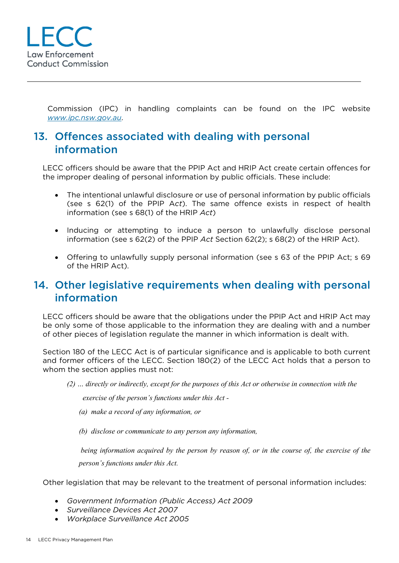

Commission (IPC) in handling complaints can be found on the IPC website *www.ipc.nsw.gov.au*.

## 13. Offences associated with dealing with personal information

LECC officers should be aware that the PPIP Act and HRIP Act create certain offences for the improper dealing of personal information by public officials. These include:

- The intentional unlawful disclosure or use of personal information by public officials (see s 62(1) of the PPIP A*ct*). The same offence exists in respect of health information (see s 68(1) of the HRIP *Act*)
- Inducing or attempting to induce a person to unlawfully disclose personal information (see s 62(2) of the PPIP *Act* Section 62(2); s 68(2) of the HRIP Act).
- Offering to unlawfully supply personal information (see s 63 of the PPIP Act; s 69 of the HRIP Act).

#### 14. Other legislative requirements when dealing with personal information

LECC officers should be aware that the obligations under the PPIP Act and HRIP Act may be only some of those applicable to the information they are dealing with and a number of other pieces of legislation regulate the manner in which information is dealt with.

Section 180 of the LECC Act is of particular significance and is applicable to both current and former officers of the LECC. Section 180(2) of the LECC Act holds that a person to whom the section applies must not:

*(2) … directly or indirectly, except for the purposes of this Act or otherwise in connection with the* 

 *exercise of the person's functions under this Act -* 

- *(a) make a record of any information, or*
- *(b) disclose or communicate to any person any information,*

 *being information acquired by the person by reason of, or in the course of, the exercise of the person's functions under this Act.* 

Other legislation that may be relevant to the treatment of personal information includes:

- *Government Information (Public Access) Act 2009*
- *Surveillance Devices Act 2007*
- *Workplace Surveillance Act 2005*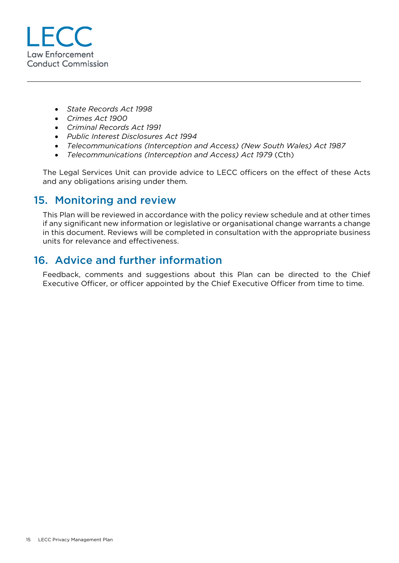

- *State Records Act 1998*
- *Crimes Act 1900*
- *Criminal Records Act 1991*
- *Public Interest Disclosures Act 1994*
- *Telecommunications (Interception and Access) (New South Wales) Act 1987*
- *Telecommunications (Interception and Access) Act 1979* (Cth)

The Legal Services Unit can provide advice to LECC officers on the effect of these Acts and any obligations arising under them.

## 15. Monitoring and review

This Plan will be reviewed in accordance with the policy review schedule and at other times if any significant new information or legislative or organisational change warrants a change in this document. Reviews will be completed in consultation with the appropriate business units for relevance and effectiveness.

## 16. Advice and further information

Feedback, comments and suggestions about this Plan can be directed to the Chief Executive Officer, or officer appointed by the Chief Executive Officer from time to time.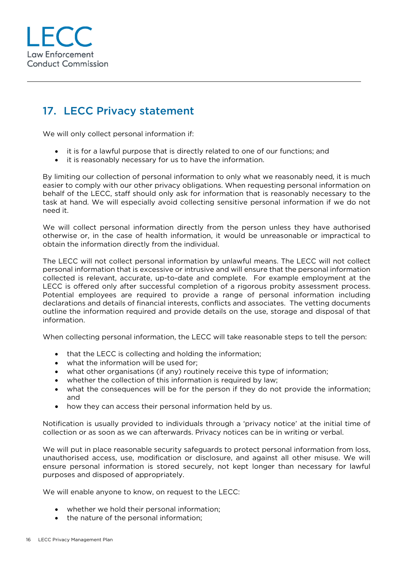## 17. LECC Privacy statement

We will only collect personal information if:

- it is for a lawful purpose that is directly related to one of our functions; and
- it is reasonably necessary for us to have the information.

By limiting our collection of personal information to only what we reasonably need, it is much easier to comply with our other privacy obligations. When requesting personal information on behalf of the LECC, staff should only ask for information that is reasonably necessary to the task at hand. We will especially avoid collecting sensitive personal information if we do not need it.

We will collect personal information directly from the person unless they have authorised otherwise or, in the case of health information, it would be unreasonable or impractical to obtain the information directly from the individual.

The LECC will not collect personal information by unlawful means. The LECC will not collect personal information that is excessive or intrusive and will ensure that the personal information collected is relevant, accurate, up-to-date and complete. For example employment at the LECC is offered only after successful completion of a rigorous probity assessment process. Potential employees are required to provide a range of personal information including declarations and details of financial interests, conflicts and associates. The vetting documents outline the information required and provide details on the use, storage and disposal of that information.

When collecting personal information, the LECC will take reasonable steps to tell the person:

- that the LECC is collecting and holding the information;
- what the information will be used for:
- what other organisations (if any) routinely receive this type of information;
- whether the collection of this information is required by law;
- what the consequences will be for the person if they do not provide the information; and
- how they can access their personal information held by us.

Notification is usually provided to individuals through a 'privacy notice' at the initial time of collection or as soon as we can afterwards. Privacy notices can be in writing or verbal.

We will put in place reasonable security safeguards to protect personal information from loss, unauthorised access, use, modification or disclosure, and against all other misuse. We will ensure personal information is stored securely, not kept longer than necessary for lawful purposes and disposed of appropriately.

We will enable anyone to know, on request to the LECC:

- whether we hold their personal information;
- the nature of the personal information;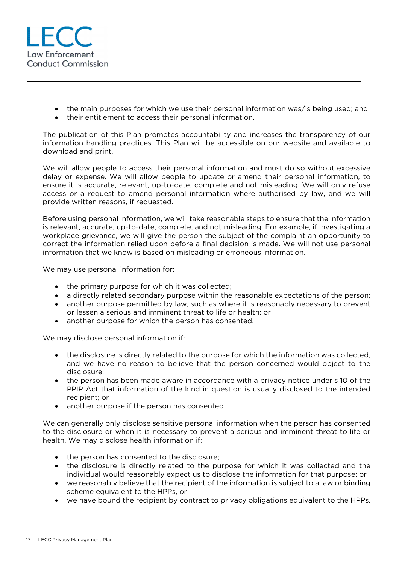

- the main purposes for which we use their personal information was/is being used; and
- their entitlement to access their personal information.

The publication of this Plan promotes accountability and increases the transparency of our information handling practices. This Plan will be accessible on our website and available to download and print.

We will allow people to access their personal information and must do so without excessive delay or expense. We will allow people to update or amend their personal information, to ensure it is accurate, relevant, up-to-date, complete and not misleading. We will only refuse access or a request to amend personal information where authorised by law, and we will provide written reasons, if requested.

Before using personal information, we will take reasonable steps to ensure that the information is relevant, accurate, up-to-date, complete, and not misleading. For example, if investigating a workplace grievance, we will give the person the subject of the complaint an opportunity to correct the information relied upon before a final decision is made. We will not use personal information that we know is based on misleading or erroneous information.

We may use personal information for:

- the primary purpose for which it was collected;
- a directly related secondary purpose within the reasonable expectations of the person;
- another purpose permitted by law, such as where it is reasonably necessary to prevent or lessen a serious and imminent threat to life or health; or
- another purpose for which the person has consented.

We may disclose personal information if:

- the disclosure is directly related to the purpose for which the information was collected, and we have no reason to believe that the person concerned would object to the disclosure;
- the person has been made aware in accordance with a privacy notice under s 10 of the PPIP Act that information of the kind in question is usually disclosed to the intended recipient; or
- another purpose if the person has consented.

We can generally only disclose sensitive personal information when the person has consented to the disclosure or when it is necessary to prevent a serious and imminent threat to life or health. We may disclose health information if:

- the person has consented to the disclosure;
- the disclosure is directly related to the purpose for which it was collected and the individual would reasonably expect us to disclose the information for that purpose; or
- we reasonably believe that the recipient of the information is subject to a law or binding scheme equivalent to the HPPs, or
- we have bound the recipient by contract to privacy obligations equivalent to the HPPs.